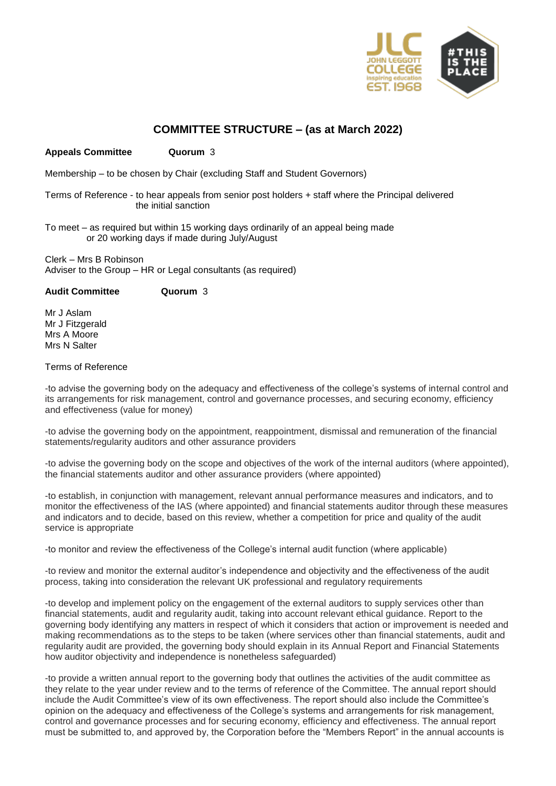

# **COMMITTEE STRUCTURE – (as at March 2022)**

# **Appeals Committee Quorum** 3

Membership – to be chosen by Chair (excluding Staff and Student Governors)

Terms of Reference - to hear appeals from senior post holders + staff where the Principal delivered the initial sanction

To meet – as required but within 15 working days ordinarily of an appeal being made or 20 working days if made during July/August

Clerk – Mrs B Robinson Adviser to the Group – HR or Legal consultants (as required)

### **Audit Committee Quorum** 3

Mr J Aslam Mr J Fitzgerald Mrs A Moore Mrs N Salter

### Terms of Reference

-to advise the governing body on the adequacy and effectiveness of the college's systems of internal control and its arrangements for risk management, control and governance processes, and securing economy, efficiency and effectiveness (value for money)

-to advise the governing body on the appointment, reappointment, dismissal and remuneration of the financial statements/regularity auditors and other assurance providers

-to advise the governing body on the scope and objectives of the work of the internal auditors (where appointed), the financial statements auditor and other assurance providers (where appointed)

-to establish, in conjunction with management, relevant annual performance measures and indicators, and to monitor the effectiveness of the IAS (where appointed) and financial statements auditor through these measures and indicators and to decide, based on this review, whether a competition for price and quality of the audit service is appropriate

-to monitor and review the effectiveness of the College's internal audit function (where applicable)

-to review and monitor the external auditor's independence and objectivity and the effectiveness of the audit process, taking into consideration the relevant UK professional and regulatory requirements

-to develop and implement policy on the engagement of the external auditors to supply services other than financial statements, audit and regularity audit, taking into account relevant ethical guidance. Report to the governing body identifying any matters in respect of which it considers that action or improvement is needed and making recommendations as to the steps to be taken (where services other than financial statements, audit and regularity audit are provided, the governing body should explain in its Annual Report and Financial Statements how auditor objectivity and independence is nonetheless safeguarded)

-to provide a written annual report to the governing body that outlines the activities of the audit committee as they relate to the year under review and to the terms of reference of the Committee. The annual report should include the Audit Committee's view of its own effectiveness. The report should also include the Committee's opinion on the adequacy and effectiveness of the College's systems and arrangements for risk management, control and governance processes and for securing economy, efficiency and effectiveness. The annual report must be submitted to, and approved by, the Corporation before the "Members Report" in the annual accounts is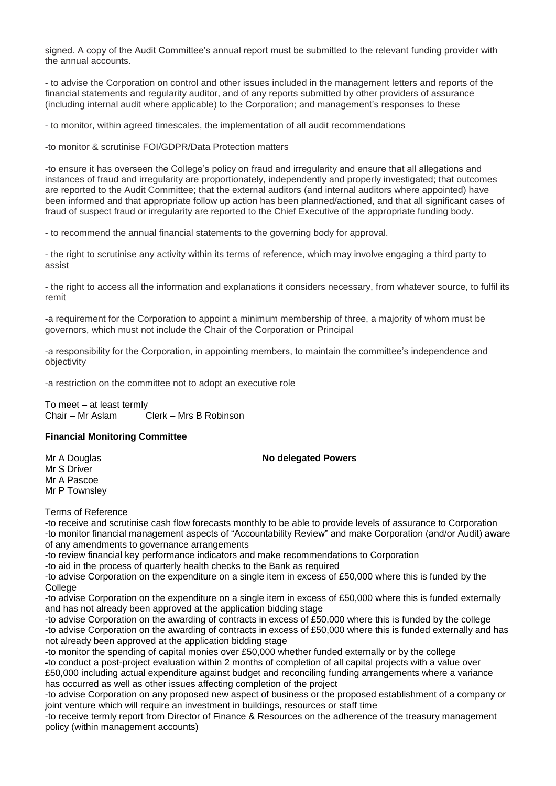signed. A copy of the Audit Committee's annual report must be submitted to the relevant funding provider with the annual accounts.

- to advise the Corporation on control and other issues included in the management letters and reports of the financial statements and regularity auditor, and of any reports submitted by other providers of assurance (including internal audit where applicable) to the Corporation; and management's responses to these

- to monitor, within agreed timescales, the implementation of all audit recommendations

-to monitor & scrutinise FOI/GDPR/Data Protection matters

-to ensure it has overseen the College's policy on fraud and irregularity and ensure that all allegations and instances of fraud and irregularity are proportionately, independently and properly investigated; that outcomes are reported to the Audit Committee; that the external auditors (and internal auditors where appointed) have been informed and that appropriate follow up action has been planned/actioned, and that all significant cases of fraud of suspect fraud or irregularity are reported to the Chief Executive of the appropriate funding body.

- to recommend the annual financial statements to the governing body for approval.

- the right to scrutinise any activity within its terms of reference, which may involve engaging a third party to assist

- the right to access all the information and explanations it considers necessary, from whatever source, to fulfil its remit

-a requirement for the Corporation to appoint a minimum membership of three, a majority of whom must be governors, which must not include the Chair of the Corporation or Principal

-a responsibility for the Corporation, in appointing members, to maintain the committee's independence and objectivity

-a restriction on the committee not to adopt an executive role

To meet – at least termly<br>Chair – Mr Aslam .<br>Clerk – Mrs B Robinson

### **Financial Monitoring Committee**

Mr S Driver Mr A Pascoe Mr P Townsley

Terms of Reference

-to receive and scrutinise cash flow forecasts monthly to be able to provide levels of assurance to Corporation -to monitor financial management aspects of "Accountability Review" and make Corporation (and/or Audit) aware of any amendments to governance arrangements

-to review financial key performance indicators and make recommendations to Corporation

-to aid in the process of quarterly health checks to the Bank as required

-to advise Corporation on the expenditure on a single item in excess of £50,000 where this is funded by the **College** 

-to advise Corporation on the expenditure on a single item in excess of £50,000 where this is funded externally and has not already been approved at the application bidding stage

-to advise Corporation on the awarding of contracts in excess of £50,000 where this is funded by the college -to advise Corporation on the awarding of contracts in excess of £50,000 where this is funded externally and has not already been approved at the application bidding stage

-to monitor the spending of capital monies over £50,000 whether funded externally or by the college -to conduct a post-project evaluation within 2 months of completion of all capital projects with a value over £50,000 including actual expenditure against budget and reconciling funding arrangements where a variance has occurred as well as other issues affecting completion of the project

-to advise Corporation on any proposed new aspect of business or the proposed establishment of a company or joint venture which will require an investment in buildings, resources or staff time

-to receive termly report from Director of Finance & Resources on the adherence of the treasury management policy (within management accounts)

### Mr A Douglas **No delegated Powers**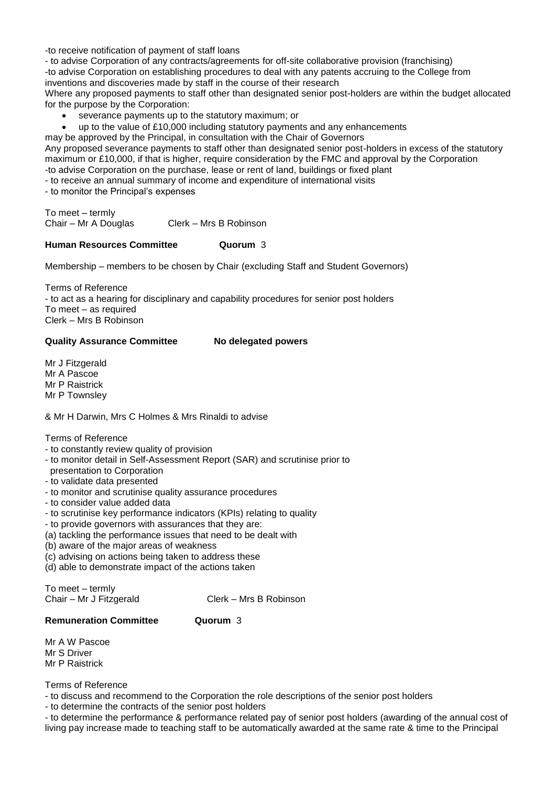-to receive notification of payment of staff loans

- to advise Corporation of any contracts/agreements for off-site collaborative provision (franchising) -to advise Corporation on establishing procedures to deal with any patents accruing to the College from inventions and discoveries made by staff in the course of their research

Where any proposed payments to staff other than designated senior post-holders are within the budget allocated for the purpose by the Corporation:

- severance payments up to the statutory maximum; or
- up to the value of £10,000 including statutory payments and any enhancements
- may be approved by the Principal, in consultation with the Chair of Governors

Any proposed severance payments to staff other than designated senior post-holders in excess of the statutory maximum or £10,000, if that is higher, require consideration by the FMC and approval by the Corporation -to advise Corporation on the purchase, lease or rent of land, buildings or fixed plant

- to receive an annual summary of income and expenditure of international visits

- to monitor the Principal's expenses

To meet – termly Chair – Mr A Douglas Clerk – Mrs B Robinson

# **Human Resources Committee Quorum** 3

Membership – members to be chosen by Chair (excluding Staff and Student Governors)

Terms of Reference - to act as a hearing for disciplinary and capability procedures for senior post holders To meet – as required Clerk – Mrs B Robinson

### **Quality Assurance Committee No delegated powers**

Mr J Fitzgerald Mr A Pascoe Mr P Raistrick Mr P Townsley

& Mr H Darwin, Mrs C Holmes & Mrs Rinaldi to advise

Terms of Reference

- to constantly review quality of provision
- to monitor detail in Self-Assessment Report (SAR) and scrutinise prior to presentation to Corporation
- to validate data presented
- to monitor and scrutinise quality assurance procedures
- to consider value added data
- to scrutinise key performance indicators (KPIs) relating to quality
- to provide governors with assurances that they are:
- (a) tackling the performance issues that need to be dealt with
- (b) aware of the major areas of weakness
- (c) advising on actions being taken to address these
- (d) able to demonstrate impact of the actions taken

To meet – termly

Chair – Mr J Fitzgerald Clerk – Mrs B Robinson

# **Remuneration Committee Quorum** 3

Mr A W Pascoe Mr S Driver Mr P Raistrick

Terms of Reference

- to discuss and recommend to the Corporation the role descriptions of the senior post holders

- to determine the contracts of the senior post holders

- to determine the performance & performance related pay of senior post holders (awarding of the annual cost of living pay increase made to teaching staff to be automatically awarded at the same rate & time to the Principal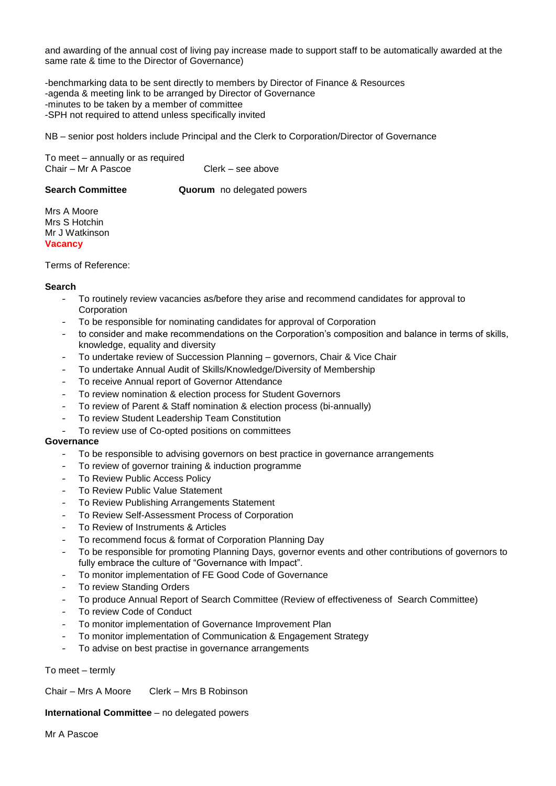and awarding of the annual cost of living pay increase made to support staff to be automatically awarded at the same rate & time to the Director of Governance)

-benchmarking data to be sent directly to members by Director of Finance & Resources -agenda & meeting link to be arranged by Director of Governance -minutes to be taken by a member of committee -SPH not required to attend unless specifically invited

NB – senior post holders include Principal and the Clerk to Corporation/Director of Governance

To meet – annually or as required Chair – Mr A Pascoe Clerk – see above

**Search Committee Cuorum** no delegated powers

Mrs A Moore Mrs S Hotchin Mr J Watkinson **Vacancy**

Terms of Reference:

### **Search**

- To routinely review vacancies as/before they arise and recommend candidates for approval to Corporation
- To be responsible for nominating candidates for approval of Corporation
- to consider and make recommendations on the Corporation's composition and balance in terms of skills, knowledge, equality and diversity
- To undertake review of Succession Planning governors, Chair & Vice Chair
- To undertake Annual Audit of Skills/Knowledge/Diversity of Membership
- To receive Annual report of Governor Attendance
- To review nomination & election process for Student Governors
- To review of Parent & Staff nomination & election process (bi-annually)
- To review Student Leadership Team Constitution
- To review use of Co-opted positions on committees

## **Governance**

- To be responsible to advising governors on best practice in governance arrangements
- To review of governor training & induction programme
- To Review Public Access Policy
- To Review Public Value Statement
- To Review Publishing Arrangements Statement
- To Review Self-Assessment Process of Corporation
- To Review of Instruments & Articles
- To recommend focus & format of Corporation Planning Day
- To be responsible for promoting Planning Days, governor events and other contributions of governors to fully embrace the culture of "Governance with Impact".
- To monitor implementation of FE Good Code of Governance
- To review Standing Orders
- To produce Annual Report of Search Committee (Review of effectiveness of Search Committee)
- To review Code of Conduct
- To monitor implementation of Governance Improvement Plan
- To monitor implementation of Communication & Engagement Strategy
- To advise on best practise in governance arrangements

To meet – termly

Chair – Mrs A Moore Clerk – Mrs B Robinson

**International Committee** – no delegated powers

Mr A Pascoe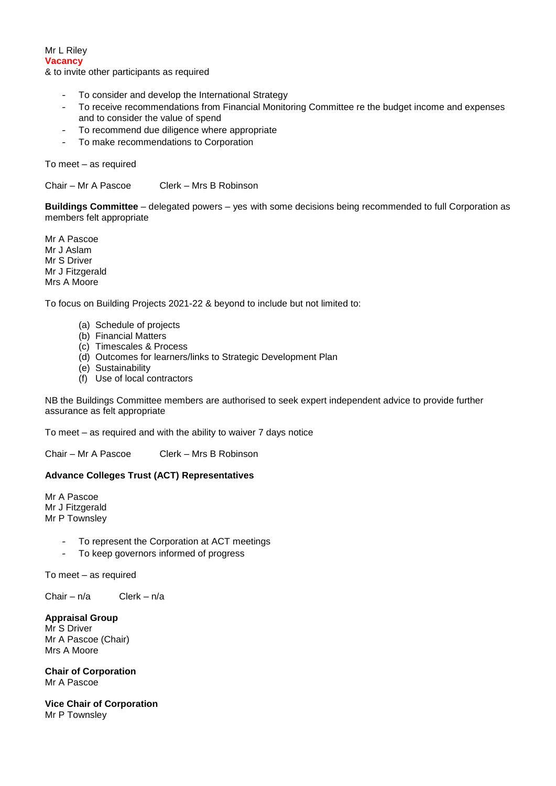Mr L Riley **Vacancy** & to invite other participants as required

- To consider and develop the International Strategy
- To receive recommendations from Financial Monitoring Committee re the budget income and expenses and to consider the value of spend
- To recommend due diligence where appropriate
- To make recommendations to Corporation

To meet – as required

Chair – Mr A Pascoe Clerk – Mrs B Robinson

**Buildings Committee** – delegated powers – yes with some decisions being recommended to full Corporation as members felt appropriate

Mr A Pascoe Mr J Aslam Mr S Driver Mr J Fitzgerald Mrs A Moore

To focus on Building Projects 2021-22 & beyond to include but not limited to:

- (a) Schedule of projects
- (b) Financial Matters
- (c) Timescales & Process
- (d) Outcomes for learners/links to Strategic Development Plan
- (e) Sustainability
- (f) Use of local contractors

NB the Buildings Committee members are authorised to seek expert independent advice to provide further assurance as felt appropriate

To meet – as required and with the ability to waiver 7 days notice

Chair – Mr A Pascoe Clerk – Mrs B Robinson

# **Advance Colleges Trust (ACT) Representatives**

Mr A Pascoe Mr J Fitzgerald Mr P Townsley

- To represent the Corporation at ACT meetings
- To keep governors informed of progress

To meet – as required

Chair – n/a Clerk – n/a

**Appraisal Group** Mr S Driver Mr A Pascoe (Chair) Mrs A Moore

**Chair of Corporation** Mr A Pascoe

**Vice Chair of Corporation** Mr P Townsley